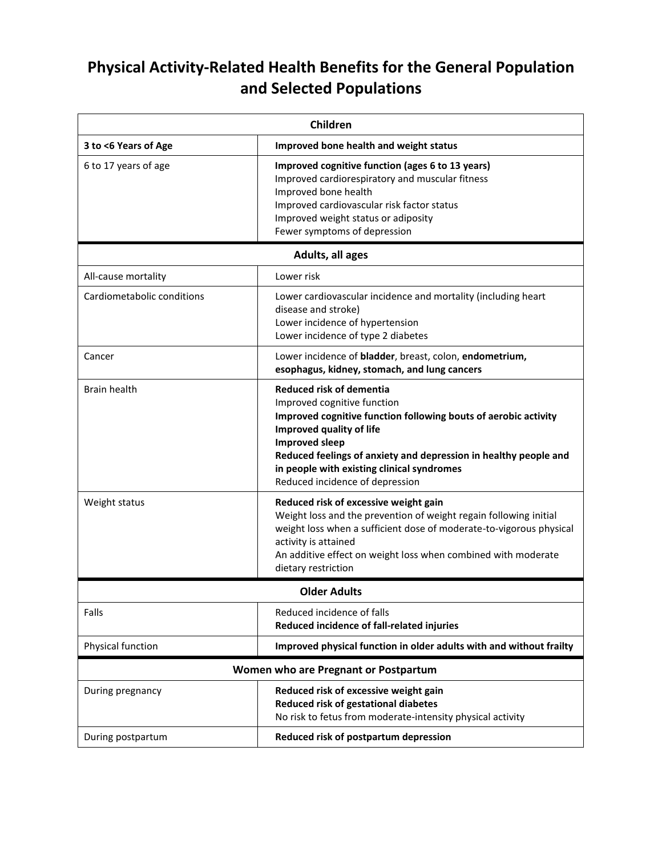## **Physical Activity-Related Health Benefits for the General Population and Selected Populations**

| Children                             |                                                                                                                                                                                                                                                                                                                                             |  |
|--------------------------------------|---------------------------------------------------------------------------------------------------------------------------------------------------------------------------------------------------------------------------------------------------------------------------------------------------------------------------------------------|--|
| 3 to <6 Years of Age                 | Improved bone health and weight status                                                                                                                                                                                                                                                                                                      |  |
| 6 to 17 years of age                 | Improved cognitive function (ages 6 to 13 years)<br>Improved cardiorespiratory and muscular fitness<br>Improved bone health<br>Improved cardiovascular risk factor status<br>Improved weight status or adiposity<br>Fewer symptoms of depression                                                                                            |  |
| Adults, all ages                     |                                                                                                                                                                                                                                                                                                                                             |  |
| All-cause mortality                  | Lower risk                                                                                                                                                                                                                                                                                                                                  |  |
| Cardiometabolic conditions           | Lower cardiovascular incidence and mortality (including heart<br>disease and stroke)<br>Lower incidence of hypertension<br>Lower incidence of type 2 diabetes                                                                                                                                                                               |  |
| Cancer                               | Lower incidence of bladder, breast, colon, endometrium,<br>esophagus, kidney, stomach, and lung cancers                                                                                                                                                                                                                                     |  |
| <b>Brain health</b>                  | <b>Reduced risk of dementia</b><br>Improved cognitive function<br>Improved cognitive function following bouts of aerobic activity<br>Improved quality of life<br><b>Improved sleep</b><br>Reduced feelings of anxiety and depression in healthy people and<br>in people with existing clinical syndromes<br>Reduced incidence of depression |  |
| Weight status                        | Reduced risk of excessive weight gain<br>Weight loss and the prevention of weight regain following initial<br>weight loss when a sufficient dose of moderate-to-vigorous physical<br>activity is attained<br>An additive effect on weight loss when combined with moderate<br>dietary restriction                                           |  |
| <b>Older Adults</b>                  |                                                                                                                                                                                                                                                                                                                                             |  |
| Falls                                | Reduced incidence of falls<br>Reduced incidence of fall-related injuries                                                                                                                                                                                                                                                                    |  |
| Physical function                    | Improved physical function in older adults with and without frailty                                                                                                                                                                                                                                                                         |  |
| Women who are Pregnant or Postpartum |                                                                                                                                                                                                                                                                                                                                             |  |
| During pregnancy                     | Reduced risk of excessive weight gain<br>Reduced risk of gestational diabetes<br>No risk to fetus from moderate-intensity physical activity                                                                                                                                                                                                 |  |
| During postpartum                    | Reduced risk of postpartum depression                                                                                                                                                                                                                                                                                                       |  |